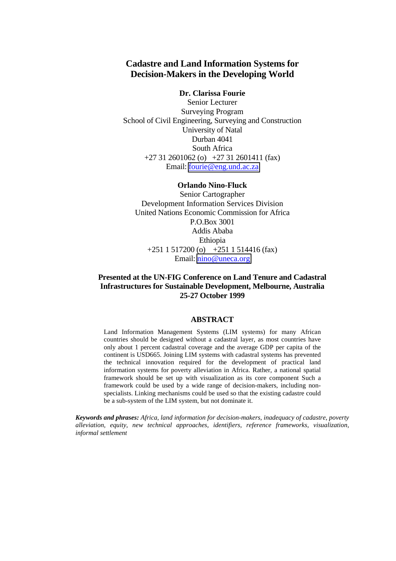# **Cadastre and Land Information Systems for Decision-Makers in the Developing World**

#### **Dr. Clarissa Fourie**

Senior Lecturer Surveying Program School of Civil Engineering, Surveying and Construction University of Natal Durban 4041 South Africa +27 31 2601062 (o) +27 31 2601411 (fax) Email: [fourie@eng.und.ac.za](mailto:fourie@eng.und.ac.za)

#### **Orlando Nino-Fluck**

Senior Cartographer Development Information Services Division United Nations Economic Commission for Africa P.O.Box 3001 Addis Ababa Ethiopia +251 1 517200 (o) +251 1 514416 (fax) Email: [nino@uneca.org](mailto:nino@uneca.org)

### **Presented at the UN-FIG Conference on Land Tenure and Cadastral Infrastructures for Sustainable Development, Melbourne, Australia 25-27 October 1999**

#### **ABSTRACT**

Land Information Management Systems (LIM systems) for many African countries should be designed without a cadastral layer, as most countries have only about 1 percent cadastral coverage and the average GDP per capita of the continent is USD665. Joining LIM systems with cadastral systems has prevented the technical innovation required for the development of practical land information systems for poverty alleviation in Africa. Rather, a national spatial framework should be set up with visualization as its core component Such a framework could be used by a wide range of decision-makers, including nonspecialists. Linking mechanisms could be used so that the existing cadastre could be a sub-system of the LIM system, but not dominate it.

*Keywords and phrases: Africa, land information for decision-makers, inadequacy of cadastre, poverty alleviation, equity, new technical approaches, identifiers, reference frameworks, visualization, informal settlement*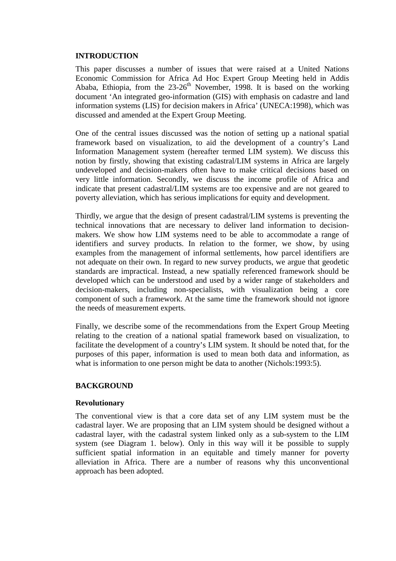#### **INTRODUCTION**

This paper discusses a number of issues that were raised at a United Nations Economic Commission for Africa Ad Hoc Expert Group Meeting held in Addis Ababa, Ethiopia, from the  $23{\text -}26^{\text{th}}$  November, 1998. It is based on the working document 'An integrated geo-information (GIS) with emphasis on cadastre and land information systems (LIS) for decision makers in Africa' (UNECA:1998), which was discussed and amended at the Expert Group Meeting.

One of the central issues discussed was the notion of setting up a national spatial framework based on visualization, to aid the development of a country's Land Information Management system (hereafter termed LIM system). We discuss this notion by firstly, showing that existing cadastral/LIM systems in Africa are largely undeveloped and decision-makers often have to make critical decisions based on very little information. Secondly, we discuss the income profile of Africa and indicate that present cadastral/LIM systems are too expensive and are not geared to poverty alleviation, which has serious implications for equity and development.

Thirdly, we argue that the design of present cadastral/LIM systems is preventing the technical innovations that are necessary to deliver land information to decisionmakers. We show how LIM systems need to be able to accommodate a range of identifiers and survey products. In relation to the former, we show, by using examples from the management of informal settlements, how parcel identifiers are not adequate on their own. In regard to new survey products, we argue that geodetic standards are impractical. Instead, a new spatially referenced framework should be developed which can be understood and used by a wider range of stakeholders and decision-makers, including non-specialists, with visualization being a core component of such a framework. At the same time the framework should not ignore the needs of measurement experts.

Finally, we describe some of the recommendations from the Expert Group Meeting relating to the creation of a national spatial framework based on visualization, to facilitate the development of a country's LIM system. It should be noted that, for the purposes of this paper, information is used to mean both data and information, as what is information to one person might be data to another (Nichols: 1993:5).

### **BACKGROUND**

### **Revolutionary**

The conventional view is that a core data set of any LIM system must be the cadastral layer. We are proposing that an LIM system should be designed without a cadastral layer, with the cadastral system linked only as a sub-system to the LIM system (see Diagram 1. below). Only in this way will it be possible to supply sufficient spatial information in an equitable and timely manner for poverty alleviation in Africa. There are a number of reasons why this unconventional approach has been adopted.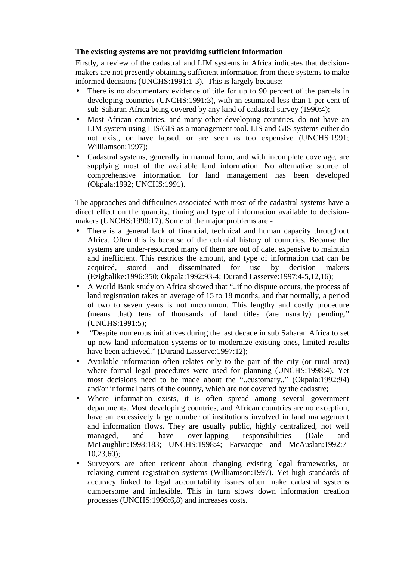# **The existing systems are not providing sufficient information**

Firstly, a review of the cadastral and LIM systems in Africa indicates that decisionmakers are not presently obtaining sufficient information from these systems to make informed decisions (UNCHS:1991:1-3). This is largely because:-

- There is no documentary evidence of title for up to 90 percent of the parcels in developing countries (UNCHS:1991:3), with an estimated less than 1 per cent of sub-Saharan Africa being covered by any kind of cadastral survey (1990:4);
- Most African countries, and many other developing countries, do not have an LIM system using LIS/GIS as a management tool. LIS and GIS systems either do not exist, or have lapsed, or are seen as too expensive (UNCHS:1991; Williamson:1997);
- Cadastral systems, generally in manual form, and with incomplete coverage, are supplying most of the available land information. No alternative source of comprehensive information for land management has been developed (Okpala:1992; UNCHS:1991).

The approaches and difficulties associated with most of the cadastral systems have a direct effect on the quantity, timing and type of information available to decisionmakers (UNCHS:1990:17). Some of the major problems are:-

- There is a general lack of financial, technical and human capacity throughout Africa. Often this is because of the colonial history of countries. Because the systems are under-resourced many of them are out of date, expensive to maintain and inefficient. This restricts the amount, and type of information that can be acquired, stored and disseminated for use by decision makers (Ezigbalike:1996:350; Okpala:1992:93-4; Durand Lasserve:1997:4-5,12,16);
- A World Bank study on Africa showed that "..if no dispute occurs, the process of land registration takes an average of 15 to 18 months, and that normally, a period of two to seven years is not uncommon. This lengthy and costly procedure (means that) tens of thousands of land titles (are usually) pending." (UNCHS:1991:5);
- "Despite numerous initiatives during the last decade in sub Saharan Africa to set up new land information systems or to modernize existing ones, limited results have been achieved." (Durand Lasserve: 1997: 12);
- Available information often relates only to the part of the city (or rural area) where formal legal procedures were used for planning (UNCHS:1998:4). Yet most decisions need to be made about the "..customary.." (Okpala:1992:94) and/or informal parts of the country, which are not covered by the cadastre;
- Where information exists, it is often spread among several government departments. Most developing countries, and African countries are no exception, have an excessively large number of institutions involved in land management and information flows. They are usually public, highly centralized, not well managed, and have over-lapping responsibilities (Dale and McLaughlin:1998:183; UNCHS:1998:4; Farvacque and McAuslan:1992:7- 10,23,60);
- Surveyors are often reticent about changing existing legal frameworks, or relaxing current registration systems (Williamson:1997). Yet high standards of accuracy linked to legal accountability issues often make cadastral systems cumbersome and inflexible. This in turn slows down information creation processes (UNCHS:1998:6,8) and increases costs.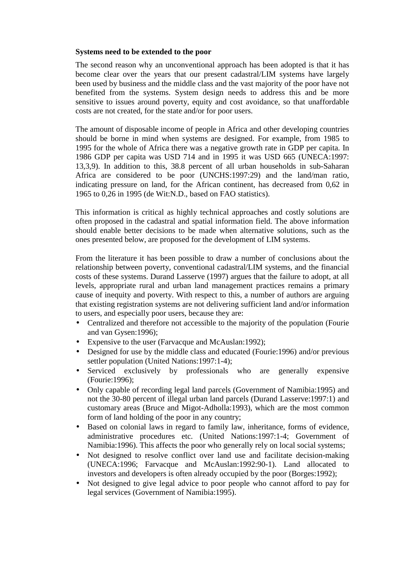### **Systems need to be extended to the poor**

The second reason why an unconventional approach has been adopted is that it has become clear over the years that our present cadastral/LIM systems have largely been used by business and the middle class and the vast majority of the poor have not benefited from the systems. System design needs to address this and be more sensitive to issues around poverty, equity and cost avoidance, so that unaffordable costs are not created, for the state and/or for poor users.

The amount of disposable income of people in Africa and other developing countries should be borne in mind when systems are designed. For example, from 1985 to 1995 for the whole of Africa there was a negative growth rate in GDP per capita. In 1986 GDP per capita was USD 714 and in 1995 it was USD 665 (UNECA:1997: 13,3,9). In addition to this, 38.8 percent of all urban households in sub-Saharan Africa are considered to be poor (UNCHS:1997:29) and the land/man ratio, indicating pressure on land, for the African continent, has decreased from 0,62 in 1965 to 0,26 in 1995 (de Wit:N.D., based on FAO statistics).

This information is critical as highly technical approaches and costly solutions are often proposed in the cadastral and spatial information field. The above information should enable better decisions to be made when alternative solutions, such as the ones presented below, are proposed for the development of LIM systems.

From the literature it has been possible to draw a number of conclusions about the relationship between poverty, conventional cadastral/LIM systems, and the financial costs of these systems. Durand Lasserve (1997) argues that the failure to adopt, at all levels, appropriate rural and urban land management practices remains a primary cause of inequity and poverty. With respect to this, a number of authors are arguing that existing registration systems are not delivering sufficient land and/or information to users, and especially poor users, because they are:

- Centralized and therefore not accessible to the majority of the population (Fourie and van Gysen:1996);
- Expensive to the user (Farvacque and McAuslan: 1992);
- Designed for use by the middle class and educated (Fourie: 1996) and/or previous settler population (United Nations:1997:1-4);
- Serviced exclusively by professionals who are generally expensive (Fourie:1996);
- Only capable of recording legal land parcels (Government of Namibia:1995) and not the 30-80 percent of illegal urban land parcels (Durand Lasserve:1997:1) and customary areas (Bruce and Migot-Adholla:1993), which are the most common form of land holding of the poor in any country;
- Based on colonial laws in regard to family law, inheritance, forms of evidence, administrative procedures etc. (United Nations:1997:1-4; Government of Namibia:1996). This affects the poor who generally rely on local social systems;
- Not designed to resolve conflict over land use and facilitate decision-making (UNECA:1996; Farvacque and McAuslan:1992:90-1). Land allocated to investors and developers is often already occupied by the poor (Borges:1992);
- Not designed to give legal advice to poor people who cannot afford to pay for legal services (Government of Namibia:1995).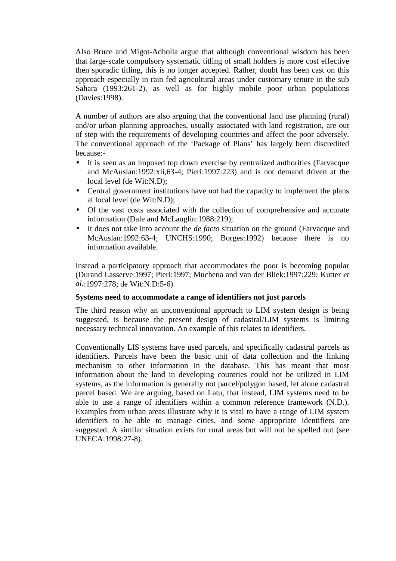Also Bruce and Migot-Adholla argue that although conventional wisdom has been that large-scale compulsory systematic titling of small holders is more cost effective then sporadic titling, this is no longer accepted. Rather, doubt has been cast on this approach especially in rain fed agricultural areas under customary tenure in the sub Sahara (1993:261-2), as well as for highly mobile poor urban populations (Davies:1998).

A number of authors are also arguing that the conventional land use planning (rural) and/or urban planning approaches, usually associated with land registration, are out of step with the requirements of developing countries and affect the poor adversely. The conventional approach of the 'Package of Plans' has largely been discredited because:-

- It is seen as an imposed top down exercise by centralized authorities (Farvacque and McAuslan:1992:xii,63-4; Pieri:1997:223) and is not demand driven at the local level (de Wit:N.D);
- Central government institutions have not had the capacity to implement the plans at local level (de Wit:N.D);
- Of the vast costs associated with the collection of comprehensive and accurate information (Dale and McLauglin:1988:219);
- It does not take into account the *de facto* situation on the ground (Farvacque and McAuslan:1992:63-4; UNCHS:1990; Borges:1992) because there is no information available.

Instead a participatory approach that accommodates the poor is becoming popular (Durand Lasserve:1997; Pieri:1997; Muchena and van der Bliek:1997:229; Kutter *et al.*:1997:278; de Wit:N.D:5-6).

### **Systems need to accommodate a range of identifiers not just parcels**

The third reason why an unconventional approach to LIM system design is being suggested, is because the present design of cadastral/LIM systems is limiting necessary technical innovation. An example of this relates to identifiers.

Conventionally LIS systems have used parcels, and specifically cadastral parcels as identifiers. Parcels have been the basic unit of data collection and the linking mechanism to other information in the database. This has meant that most information about the land in developing countries could not be utilized in LIM systems, as the information is generally not parcel/polygon based, let alone cadastral parcel based. We are arguing, based on Latu, that instead, LIM systems need to be able to use a range of identifiers within a common reference framework (N.D.). Examples from urban areas illustrate why it is vital to have a range of LIM system identifiers to be able to manage cities, and some appropriate identifiers are suggested. A similar situation exists for rural areas but will not be spelled out (see UNECA:1998:27-8).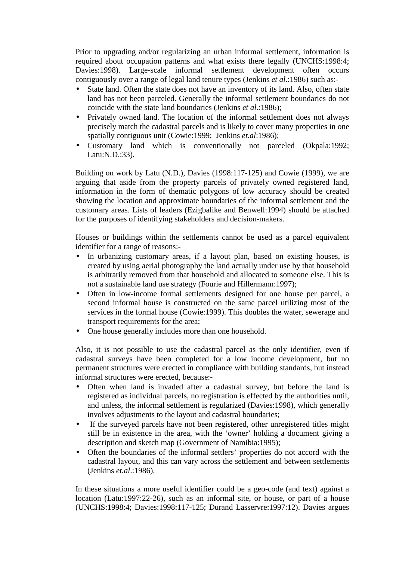Prior to upgrading and/or regularizing an urban informal settlement, information is required about occupation patterns and what exists there legally (UNCHS:1998:4; Davies:1998). Large-scale informal settlement development often occurs contiguously over a range of legal land tenure types (Jenkins *et al*.:1986) such as:-

- State land. Often the state does not have an inventory of its land. Also, often state land has not been parceled. Generally the informal settlement boundaries do not coincide with the state land boundaries (Jenkins *et al*.:1986);
- Privately owned land. The location of the informal settlement does not always precisely match the cadastral parcels and is likely to cover many properties in one spatially contiguous unit (Cowie:1999; Jenkins *et.al*:1986);
- Customary land which is conventionally not parceled (Okpala:1992; Latu:N.D.:33).

Building on work by Latu (N.D.), Davies (1998:117-125) and Cowie (1999), we are arguing that aside from the property parcels of privately owned registered land, information in the form of thematic polygons of low accuracy should be created showing the location and approximate boundaries of the informal settlement and the customary areas. Lists of leaders (Ezigbalike and Benwell:1994) should be attached for the purposes of identifying stakeholders and decision-makers.

Houses or buildings within the settlements cannot be used as a parcel equivalent identifier for a range of reasons:-

- In urbanizing customary areas, if a layout plan, based on existing houses, is created by using aerial photography the land actually under use by that household is arbitrarily removed from that household and allocated to someone else. This is not a sustainable land use strategy (Fourie and Hillermann:1997);
- Often in low-income formal settlements designed for one house per parcel, a second informal house is constructed on the same parcel utilizing most of the services in the formal house (Cowie:1999). This doubles the water, sewerage and transport requirements for the area;
- One house generally includes more than one household.

Also, it is not possible to use the cadastral parcel as the only identifier, even if cadastral surveys have been completed for a low income development, but no permanent structures were erected in compliance with building standards, but instead informal structures were erected, because:-

- Often when land is invaded after a cadastral survey, but before the land is registered as individual parcels, no registration is effected by the authorities until, and unless, the informal settlement is regularized (Davies:1998), which generally involves adjustments to the layout and cadastral boundaries;
- If the surveyed parcels have not been registered, other unregistered titles might still be in existence in the area, with the 'owner' holding a document giving a description and sketch map (Government of Namibia:1995);
- Often the boundaries of the informal settlers' properties do not accord with the cadastral layout, and this can vary across the settlement and between settlements (Jenkins *et.al*.:1986).

In these situations a more useful identifier could be a geo-code (and text) against a location (Latu:1997:22-26), such as an informal site, or house, or part of a house (UNCHS:1998:4; Davies:1998:117-125; Durand Lasservre:1997:12). Davies argues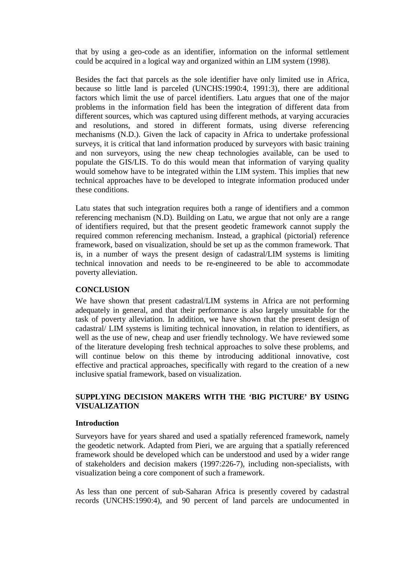that by using a geo-code as an identifier, information on the informal settlement could be acquired in a logical way and organized within an LIM system (1998).

Besides the fact that parcels as the sole identifier have only limited use in Africa, because so little land is parceled (UNCHS:1990:4, 1991:3), there are additional factors which limit the use of parcel identifiers. Latu argues that one of the major problems in the information field has been the integration of different data from different sources, which was captured using different methods, at varying accuracies and resolutions, and stored in different formats, using diverse referencing mechanisms (N.D.). Given the lack of capacity in Africa to undertake professional surveys, it is critical that land information produced by surveyors with basic training and non surveyors, using the new cheap technologies available, can be used to populate the GIS/LIS. To do this would mean that information of varying quality would somehow have to be integrated within the LIM system. This implies that new technical approaches have to be developed to integrate information produced under these conditions.

Latu states that such integration requires both a range of identifiers and a common referencing mechanism (N.D). Building on Latu, we argue that not only are a range of identifiers required, but that the present geodetic framework cannot supply the required common referencing mechanism. Instead, a graphical (pictorial) reference framework, based on visualization, should be set up as the common framework. That is, in a number of ways the present design of cadastral/LIM systems is limiting technical innovation and needs to be re-engineered to be able to accommodate poverty alleviation.

### **CONCLUSION**

We have shown that present cadastral/LIM systems in Africa are not performing adequately in general, and that their performance is also largely unsuitable for the task of poverty alleviation. In addition, we have shown that the present design of cadastral/ LIM systems is limiting technical innovation, in relation to identifiers, as well as the use of new, cheap and user friendly technology. We have reviewed some of the literature developing fresh technical approaches to solve these problems, and will continue below on this theme by introducing additional innovative, cost effective and practical approaches, specifically with regard to the creation of a new inclusive spatial framework, based on visualization.

## **SUPPLYING DECISION MAKERS WITH THE 'BIG PICTURE' BY USING VISUALIZATION**

### **Introduction**

Surveyors have for years shared and used a spatially referenced framework, namely the geodetic network. Adapted from Pieri, we are arguing that a spatially referenced framework should be developed which can be understood and used by a wider range of stakeholders and decision makers (1997:226-7), including non-specialists, with visualization being a core component of such a framework.

As less than one percent of sub-Saharan Africa is presently covered by cadastral records (UNCHS:1990:4), and 90 percent of land parcels are undocumented in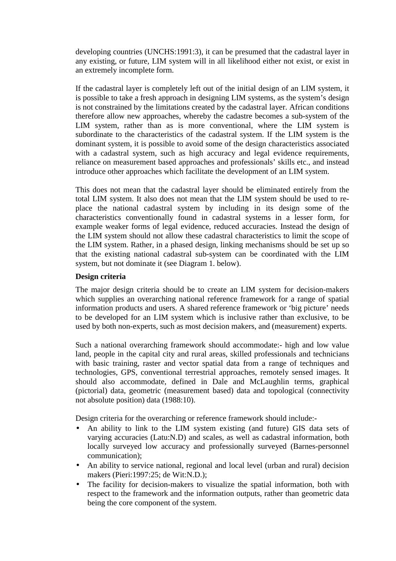developing countries (UNCHS:1991:3), it can be presumed that the cadastral layer in any existing, or future, LIM system will in all likelihood either not exist, or exist in an extremely incomplete form.

If the cadastral layer is completely left out of the initial design of an LIM system, it is possible to take a fresh approach in designing LIM systems, as the system's design is not constrained by the limitations created by the cadastral layer. African conditions therefore allow new approaches, whereby the cadastre becomes a sub-system of the LIM system, rather than as is more conventional, where the LIM system is subordinate to the characteristics of the cadastral system. If the LIM system is the dominant system, it is possible to avoid some of the design characteristics associated with a cadastral system, such as high accuracy and legal evidence requirements, reliance on measurement based approaches and professionals' skills etc., and instead introduce other approaches which facilitate the development of an LIM system.

This does not mean that the cadastral layer should be eliminated entirely from the total LIM system. It also does not mean that the LIM system should be used to replace the national cadastral system by including in its design some of the characteristics conventionally found in cadastral systems in a lesser form, for example weaker forms of legal evidence, reduced accuracies. Instead the design of the LIM system should not allow these cadastral characteristics to limit the scope of the LIM system. Rather, in a phased design, linking mechanisms should be set up so that the existing national cadastral sub-system can be coordinated with the LIM system, but not dominate it (see Diagram 1. below).

### **Design criteria**

The major design criteria should be to create an LIM system for decision-makers which supplies an overarching national reference framework for a range of spatial information products and users. A shared reference framework or 'big picture' needs to be developed for an LIM system which is inclusive rather than exclusive, to be used by both non-experts, such as most decision makers, and (measurement) experts.

Such a national overarching framework should accommodate:- high and low value land, people in the capital city and rural areas, skilled professionals and technicians with basic training, raster and vector spatial data from a range of techniques and technologies, GPS, conventional terrestrial approaches, remotely sensed images. It should also accommodate, defined in Dale and McLaughlin terms, graphical (pictorial) data, geometric (measurement based) data and topological (connectivity not absolute position) data (1988:10).

Design criteria for the overarching or reference framework should include:-

- An ability to link to the LIM system existing (and future) GIS data sets of varying accuracies (Latu:N.D) and scales, as well as cadastral information, both locally surveyed low accuracy and professionally surveyed (Barnes-personnel communication);
- An ability to service national, regional and local level (urban and rural) decision makers (Pieri:1997:25; de Wit:N.D.);
- The facility for decision-makers to visualize the spatial information, both with respect to the framework and the information outputs, rather than geometric data being the core component of the system.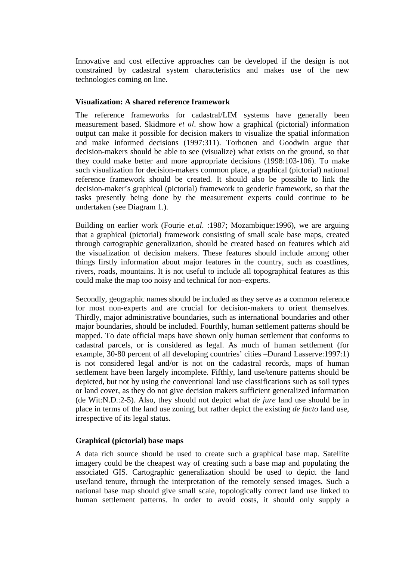Innovative and cost effective approaches can be developed if the design is not constrained by cadastral system characteristics and makes use of the new technologies coming on line.

### **Visualization: A shared reference framework**

The reference frameworks for cadastral/LIM systems have generally been measurement based. Skidmore *et al*. show how a graphical (pictorial) information output can make it possible for decision makers to visualize the spatial information and make informed decisions (1997:311). Torhonen and Goodwin argue that decision-makers should be able to see (visualize) what exists on the ground, so that they could make better and more appropriate decisions (1998:103-106). To make such visualization for decision-makers common place, a graphical (pictorial) national reference framework should be created. It should also be possible to link the decision-maker's graphical (pictorial) framework to geodetic framework, so that the tasks presently being done by the measurement experts could continue to be undertaken (see Diagram 1.).

Building on earlier work (Fourie *et.al*. :1987; Mozambique:1996), we are arguing that a graphical (pictorial) framework consisting of small scale base maps, created through cartographic generalization, should be created based on features which aid the visualization of decision makers. These features should include among other things firstly information about major features in the country, such as coastlines, rivers, roads, mountains. It is not useful to include all topographical features as this could make the map too noisy and technical for non–experts.

Secondly, geographic names should be included as they serve as a common reference for most non-experts and are crucial for decision-makers to orient themselves. Thirdly, major administrative boundaries, such as international boundaries and other major boundaries, should be included. Fourthly, human settlement patterns should be mapped. To date official maps have shown only human settlement that conforms to cadastral parcels, or is considered as legal. As much of human settlement (for example, 30-80 percent of all developing countries' cities –Durand Lasserve:1997:1) is not considered legal and/or is not on the cadastral records, maps of human settlement have been largely incomplete. Fifthly, land use/tenure patterns should be depicted, but not by using the conventional land use classifications such as soil types or land cover, as they do not give decision makers sufficient generalized information (de Wit:N.D.:2-5). Also, they should not depict what *de jure* land use should be in place in terms of the land use zoning, but rather depict the existing *de facto* land use, irrespective of its legal status.

### **Graphical (pictorial) base maps**

A data rich source should be used to create such a graphical base map. Satellite imagery could be the cheapest way of creating such a base map and populating the associated GIS. Cartographic generalization should be used to depict the land use/land tenure, through the interpretation of the remotely sensed images. Such a national base map should give small scale, topologically correct land use linked to human settlement patterns. In order to avoid costs, it should only supply a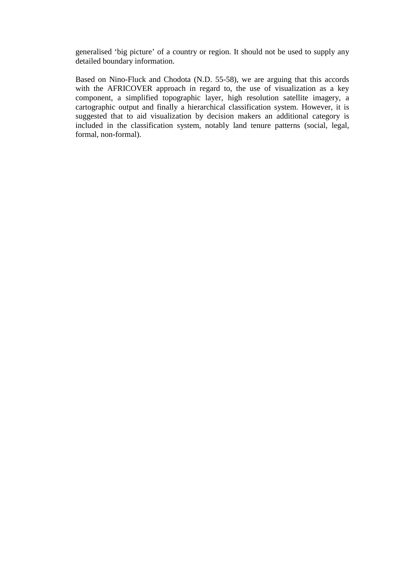generalised 'big picture' of a country or region. It should not be used to supply any detailed boundary information.

Based on Nino-Fluck and Chodota (N.D. 55-58), we are arguing that this accords with the AFRICOVER approach in regard to, the use of visualization as a key component, a simplified topographic layer, high resolution satellite imagery, a cartographic output and finally a hierarchical classification system. However, it is suggested that to aid visualization by decision makers an additional category is included in the classification system, notably land tenure patterns (social, legal, formal, non-formal).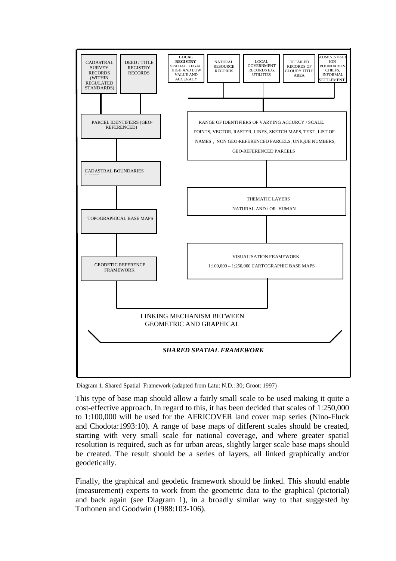

Diagram 1. Shared Spatial Framework (adapted from Latu: N.D.: 30; Groot: 1997)

This type of base map should allow a fairly small scale to be used making it quite a cost-effective approach. In regard to this, it has been decided that scales of 1:250,000 to 1:100,000 will be used for the AFRICOVER land cover map series (Nino-Fluck and Chodota:1993:10). A range of base maps of different scales should be created, starting with very small scale for national coverage, and where greater spatial resolution is required, such as for urban areas, slightly larger scale base maps should be created. The result should be a series of layers, all linked graphically and/or geodetically.

Finally, the graphical and geodetic framework should be linked. This should enable (measurement) experts to work from the geometric data to the graphical (pictorial) and back again (see Diagram 1), in a broadly similar way to that suggested by Torhonen and Goodwin (1988:103-106).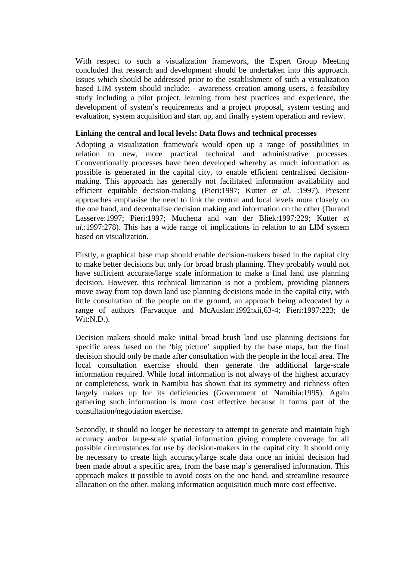With respect to such a visualization framework, the Expert Group Meeting concluded that research and development should be undertaken into this approach. Issues which should be addressed prior to the establishment of such a visualization based LIM system should include: - awareness creation among users, a feasibility study including a pilot project, learning from best practices and experience, the development of system's requirements and a project proposal, system testing and evaluation, system acquisition and start up, and finally system operation and review.

### **Linking the central and local levels: Data flows and technical processes**

Adopting a visualization framework would open up a range of possibilities in relation to new, more practical technical and administrative processes. Cconventionally processes have been developed whereby as much information as possible is generated in the capital city, to enable efficient centralised decisionmaking. This approach has generally not facilitated information availability and efficient equitable decision-making (Pieri:1997; Kutter *et al.* :1997). Present approaches emphasise the need to link the central and local levels more closely on the one hand, and decentralise decision making and information on the other (Durand Lasserve:1997; Pieri:1997; Muchena and van der Bliek:1997:229; Kutter *et al.*:1997:278). This has a wide range of implications in relation to an LIM system based on visualization.

Firstly, a graphical base map should enable decision-makers based in the capital city to make better decisions but only for broad brush planning. They probably would not have sufficient accurate/large scale information to make a final land use planning decision. However, this technical limitation is not a problem, providing planners move away from top down land use planning decisions made in the capital city, with little consultation of the people on the ground, an approach being advocated by a range of authors (Farvacque and McAuslan:1992:xii,63-4; Pieri:1997:223; de  $Wit:N.D.$ ).

Decision makers should make initial broad brush land use planning decisions for specific areas based on the 'big picture' supplied by the base maps, but the final decision should only be made after consultation with the people in the local area. The local consultation exercise should then generate the additional large-scale information required. While local information is not always of the highest accuracy or completeness, work in Namibia has shown that its symmetry and richness often largely makes up for its deficiencies (Government of Namibia:1995). Again gathering such information is more cost effective because it forms part of the consultation/negotiation exercise.

Secondly, it should no longer be necessary to attempt to generate and maintain high accuracy and/or large-scale spatial information giving complete coverage for all possible circumstances for use by decision-makers in the capital city. It should only be necessary to create high accuracy/large scale data once an initial decision had been made about a specific area, from the base map's generalised information. This approach makes it possible to avoid costs on the one hand, and streamline resource allocation on the other, making information acquisition much more cost effective.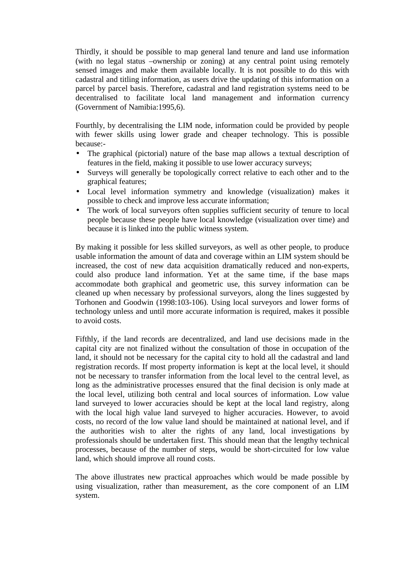Thirdly, it should be possible to map general land tenure and land use information (with no legal status –ownership or zoning) at any central point using remotely sensed images and make them available locally. It is not possible to do this with cadastral and titling information, as users drive the updating of this information on a parcel by parcel basis. Therefore, cadastral and land registration systems need to be decentralised to facilitate local land management and information currency (Government of Namibia:1995,6).

Fourthly, by decentralising the LIM node, information could be provided by people with fewer skills using lower grade and cheaper technology. This is possible because:-

- The graphical (pictorial) nature of the base map allows a textual description of features in the field, making it possible to use lower accuracy surveys;
- Surveys will generally be topologically correct relative to each other and to the graphical features;
- Local level information symmetry and knowledge (visualization) makes it possible to check and improve less accurate information;
- The work of local surveyors often supplies sufficient security of tenure to local people because these people have local knowledge (visualization over time) and because it is linked into the public witness system.

By making it possible for less skilled surveyors, as well as other people, to produce usable information the amount of data and coverage within an LIM system should be increased, the cost of new data acquisition dramatically reduced and non-experts, could also produce land information. Yet at the same time, if the base maps accommodate both graphical and geometric use, this survey information can be cleaned up when necessary by professional surveyors, along the lines suggested by Torhonen and Goodwin (1998:103-106). Using local surveyors and lower forms of technology unless and until more accurate information is required, makes it possible to avoid costs.

Fifthly, if the land records are decentralized, and land use decisions made in the capital city are not finalized without the consultation of those in occupation of the land, it should not be necessary for the capital city to hold all the cadastral and land registration records. If most property information is kept at the local level, it should not be necessary to transfer information from the local level to the central level, as long as the administrative processes ensured that the final decision is only made at the local level, utilizing both central and local sources of information. Low value land surveyed to lower accuracies should be kept at the local land registry, along with the local high value land surveyed to higher accuracies. However, to avoid costs, no record of the low value land should be maintained at national level, and if the authorities wish to alter the rights of any land, local investigations by professionals should be undertaken first. This should mean that the lengthy technical processes, because of the number of steps, would be short-circuited for low value land, which should improve all round costs.

The above illustrates new practical approaches which would be made possible by using visualization, rather than measurement, as the core component of an LIM system.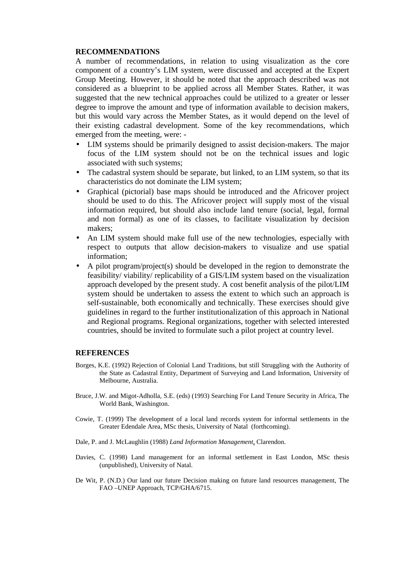#### **RECOMMENDATIONS**

A number of recommendations, in relation to using visualization as the core component of a country's LIM system, were discussed and accepted at the Expert Group Meeting. However, it should be noted that the approach described was not considered as a blueprint to be applied across all Member States. Rather, it was suggested that the new technical approaches could be utilized to a greater or lesser degree to improve the amount and type of information available to decision makers, but this would vary across the Member States, as it would depend on the level of their existing cadastral development. Some of the key recommendations, which emerged from the meeting, were: -

- LIM systems should be primarily designed to assist decision-makers. The major focus of the LIM system should not be on the technical issues and logic associated with such systems;
- The cadastral system should be separate, but linked, to an LIM system, so that its characteristics do not dominate the LIM system;
- Graphical (pictorial) base maps should be introduced and the Africover project should be used to do this. The Africover project will supply most of the visual information required, but should also include land tenure (social, legal, formal and non formal) as one of its classes, to facilitate visualization by decision makers;
- An LIM system should make full use of the new technologies, especially with respect to outputs that allow decision-makers to visualize and use spatial information;
- A pilot program/project(s) should be developed in the region to demonstrate the feasibility/ viability/ replicability of a GIS/LIM system based on the visualization approach developed by the present study. A cost benefit analysis of the pilot/LIM system should be undertaken to assess the extent to which such an approach is self-sustainable, both economically and technically. These exercises should give guidelines in regard to the further institutionalization of this approach in National and Regional programs. Regional organizations, together with selected interested countries, should be invited to formulate such a pilot project at country level.

### **REFERENCES**

- Borges, K.E. (1992) Rejection of Colonial Land Traditions, but still Struggling with the Authority of the State as Cadastral Entity, Department of Surveying and Land Information, University of Melbourne, Australia.
- Bruce, J.W. and Migot-Adholla, S.E. (eds) (1993) Searching For Land Tenure Security in Africa, The World Bank, Washington.
- Cowie, T. (1999) The development of a local land records system for informal settlements in the Greater Edendale Area, MSc thesis, University of Natal (forthcoming).
- Dale, P. and J. McLaughlin (1988) *Land Information Management*, Clarendon.
- Davies, C. (1998) Land management for an informal settlement in East London, MSc thesis (unpublished), University of Natal.
- De Wit, P. (N.D.) Our land our future Decision making on future land resources management, The FAO –UNEP Approach, TCP/GHA/6715.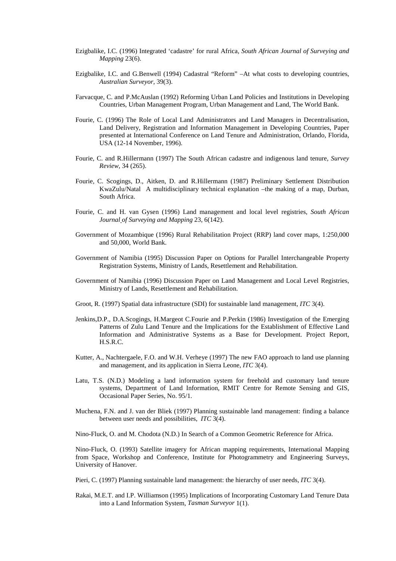- Ezigbalike, I.C. (1996) Integrated 'cadastre' for rural Africa*, South African Journal of Surveying and Mapping* 23(6).
- Ezigbalike, I.C. and G.Benwell (1994) Cadastral "Reform" –At what costs to developing countries, *Australian Surveyor*, 39(3).
- Farvacque, C. and P.McAuslan (1992) Reforming Urban Land Policies and Institutions in Developing Countries, Urban Management Program, Urban Management and Land, The World Bank.
- Fourie, C. (1996) The Role of Local Land Administrators and Land Managers in Decentralisation, Land Delivery, Registration and Information Management in Developing Countries, Paper presented at International Conference on Land Tenure and Administration, Orlando, Florida, USA (12-14 November, 1996).
- Fourie, C. and R.Hillermann (1997) The South African cadastre and indigenous land tenure*, Survey Review*, 34 (265).
- Fourie, C. Scogings, D., Aitken, D. and R.Hillermann (1987) Preliminary Settlement Distribution KwaZulu/Natal A multidisciplinary technical explanation –the making of a map, Durban, South Africa.
- Fourie, C. and H. van Gysen (1996) Land management and local level registries*, South African Journal of Surveying and Mapping* 23, 6(142).
- Government of Mozambique (1996) Rural Rehabilitation Project (RRP) land cover maps, 1:250,000 and 50,000, World Bank.
- Government of Namibia (1995) Discussion Paper on Options for Parallel Interchangeable Property Registration Systems, Ministry of Lands, Resettlement and Rehabilitation.
- Government of Namibia (1996) Discussion Paper on Land Management and Local Level Registries, Ministry of Lands, Resettlement and Rehabilitation.
- Groot, R. (1997) Spatial data infrastructure (SDI) for sustainable land management, *ITC* 3(4).
- Jenkins,D.P., D.A.Scogings, H.Margeot C.Fourie and P.Perkin (1986) Investigation of the Emerging Patterns of Zulu Land Tenure and the Implications for the Establishment of Effective Land Information and Administrative Systems as a Base for Development. Project Report, H.S.R.C.
- Kutter, A., Nachtergaele, F.O. and W.H. Verheye (1997) The new FAO approach to land use planning and management, and its application in Sierra Leone, *ITC* 3(4).
- Latu, T.S. (N.D.) Modeling a land information system for freehold and customary land tenure systems, Department of Land Information, RMIT Centre for Remote Sensing and GIS, Occasional Paper Series, No. 95/1.
- Muchena, F.N. and J. van der Bliek (1997) Planning sustainable land management: finding a balance between user needs and possibilities, *ITC* 3(4).

Nino-Fluck, O. and M. Chodota (N.D.) In Search of a Common Geometric Reference for Africa.

Nino-Fluck, O. (1993) Satellite imagery for African mapping requirements, International Mapping from Space, Workshop and Conference, Institute for Photogrammetry and Engineering Surveys, University of Hanover.

- Pieri, C. (1997) Planning sustainable land management: the hierarchy of user needs, *ITC* 3(4).
- Rakai, M.E.T. and I.P. Williamson (1995) Implications of Incorporating Customary Land Tenure Data into a Land Information System, *Tasman Surveyor* 1(1).